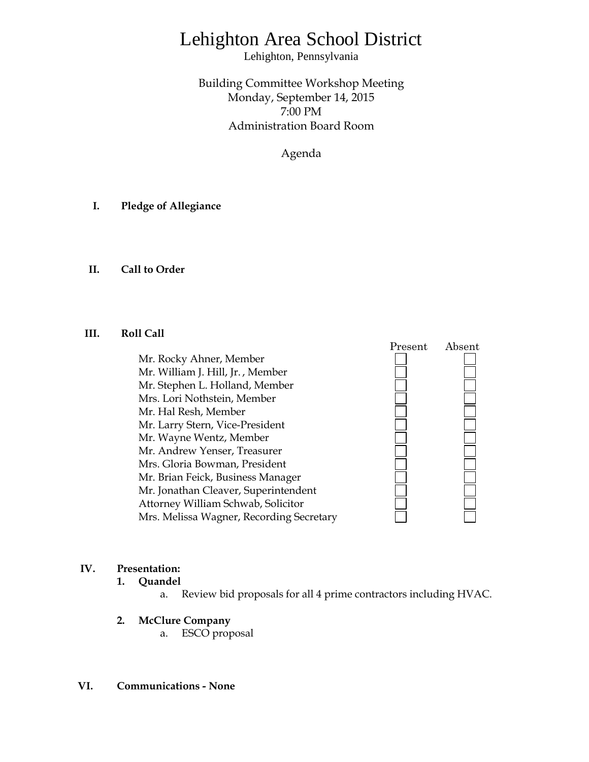## Lehighton Area School District

Lehighton, Pennsylvania

Building Committee Workshop Meeting Monday, September 14, 2015 7:00 PM Administration Board Room

Agenda

- **I. Pledge of Allegiance**
- **II. Call to Order**

## **III. Roll Call**

Mr. Rocky Ahner, Member Mr. William J. Hill, Jr. , Member Mr. Stephen L. Holland, Member Mrs. Lori Nothstein, Member Mr. Hal Resh, Member Mr. Larry Stern, Vice-President Mr. Wayne Wentz, Member Mr. Andrew Yenser, Treasurer Mrs. Gloria Bowman, President Mr. Brian Feick, Business Manager Mr. Jonathan Cleaver, Superintendent Attorney William Schwab, Solicitor Mrs. Melissa Wagner, Recording Secretary



## **IV. Presentation:**

- **1. Quandel** 
	- a. Review bid proposals for all 4 prime contractors including HVAC.
- **2. McClure Company**
	- a. ESCO proposal

## **VI. Communications - None**